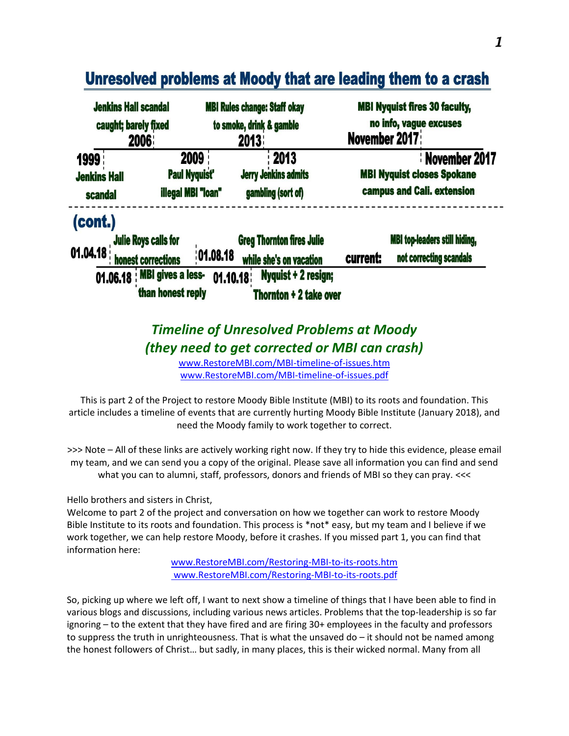

# Unresolved problems at Moody that are leading them to a crash

## *Timeline of Unresolved Problems at Moody (they need to get corrected or MBI can crash)*

[www.RestoreMBI.com/MBI-timeline-of-issues.htm](http://www.restorembi.com/MBI-timeline-of-issues.htm) [www.RestoreMBI.com/MBI-timeline-of-issues.pdf](http://www.restorembi.com/MBI-timeline-of-issues.pdf)

This is part 2 of the Project to restore Moody Bible Institute (MBI) to its roots and foundation. This article includes a timeline of events that are currently hurting Moody Bible Institute (January 2018), and need the Moody family to work together to correct.

>>> Note – All of these links are actively working right now. If they try to hide this evidence, please email my team, and we can send you a copy of the original. Please save all information you can find and send what you can to alumni, staff, professors, donors and friends of MBI so they can pray. <<<

Hello brothers and sisters in Christ,

Welcome to part 2 of the project and conversation on how we together can work to restore Moody Bible Institute to its roots and foundation. This process is \*not\* easy, but my team and I believe if we work together, we can help restore Moody, before it crashes. If you missed part 1, you can find that information here:

> [www.RestoreMBI.com/Restoring-MBI-to-its-roots.htm](http://www.restorembi.com/Restoring-MBI-to-its-roots.htm) www.RestoreMBI.com/Restoring-MBI-to-its-roots.pdf

So, picking up where we left off, I want to next show a timeline of things that I have been able to find in various blogs and discussions, including various news articles. Problems that the top-leadership is so far ignoring – to the extent that they have fired and are firing 30+ employees in the faculty and professors to suppress the truth in unrighteousness. That is what the unsaved do – it should not be named among the honest followers of Christ… but sadly, in many places, this is their wicked normal. Many from all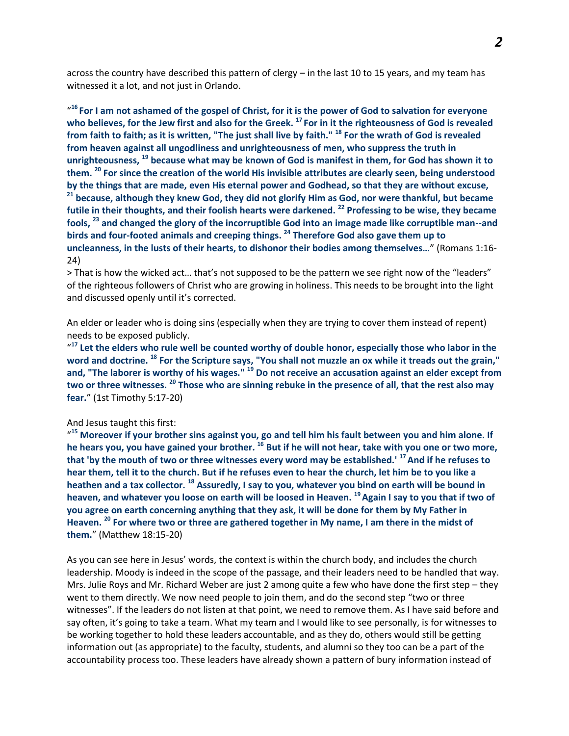across the country have described this pattern of clergy – in the last 10 to 15 years, and my team has witnessed it a lot, and not just in Orlando.

" **<sup>16</sup>For I am not ashamed of the gospel of Christ, for it is the power of God to salvation for everyone who believes, for the Jew first and also for the Greek. <sup>17</sup>For in it the righteousness of God is revealed from faith to faith; as it is written, "The just shall live by faith." <sup>18</sup> For the wrath of God is revealed from heaven against all ungodliness and unrighteousness of men, who suppress the truth in unrighteousness, <sup>19</sup> because what may be known of God is manifest in them, for God has shown it to them. <sup>20</sup> For since the creation of the world His invisible attributes are clearly seen, being understood by the things that are made, even His eternal power and Godhead, so that they are without excuse, <sup>21</sup> because, although they knew God, they did not glorify Him as God, nor were thankful, but became futile in their thoughts, and their foolish hearts were darkened. <sup>22</sup> Professing to be wise, they became fools, <sup>23</sup> and changed the glory of the incorruptible God into an image made like corruptible man--and birds and four-footed animals and creeping things. <sup>24</sup> Therefore God also gave them up to uncleanness, in the lusts of their hearts, to dishonor their bodies among themselves…**" (Romans 1:16- 24)

> That is how the wicked act… that's not supposed to be the pattern we see right now of the "leaders" of the righteous followers of Christ who are growing in holiness. This needs to be brought into the light and discussed openly until it's corrected.

An elder or leader who is doing sins (especially when they are trying to cover them instead of repent) needs to be exposed publicly.

<sup>417</sup> Let the elders who rule well be counted worthy of double honor, especially those who labor in the **word and doctrine. <sup>18</sup> For the Scripture says, "You shall not muzzle an ox while it treads out the grain," and, "The laborer is worthy of his wages." <sup>19</sup> Do not receive an accusation against an elder except from two or three witnesses. <sup>20</sup> Those who are sinning rebuke in the presence of all, that the rest also may fear.**" (1st Timothy 5:17-20)

#### And Jesus taught this first:

" **<sup>15</sup> Moreover if your brother sins against you, go and tell him his fault between you and him alone. If he hears you, you have gained your brother. <sup>16</sup> But if he will not hear, take with you one or two more, that 'by the mouth of two or three witnesses every word may be established.' <sup>17</sup>And if he refuses to hear them, tell it to the church. But if he refuses even to hear the church, let him be to you like a heathen and a tax collector. <sup>18</sup> Assuredly, I say to you, whatever you bind on earth will be bound in heaven, and whatever you loose on earth will be loosed in Heaven. <sup>19</sup>Again I say to you that if two of you agree on earth concerning anything that they ask, it will be done for them by My Father in Heaven. <sup>20</sup> For where two or three are gathered together in My name, I am there in the midst of them.**" (Matthew 18:15-20)

As you can see here in Jesus' words, the context is within the church body, and includes the church leadership. Moody is indeed in the scope of the passage, and their leaders need to be handled that way. Mrs. Julie Roys and Mr. Richard Weber are just 2 among quite a few who have done the first step – they went to them directly. We now need people to join them, and do the second step "two or three witnesses". If the leaders do not listen at that point, we need to remove them. As I have said before and say often, it's going to take a team. What my team and I would like to see personally, is for witnesses to be working together to hold these leaders accountable, and as they do, others would still be getting information out (as appropriate) to the faculty, students, and alumni so they too can be a part of the accountability process too. These leaders have already shown a pattern of bury information instead of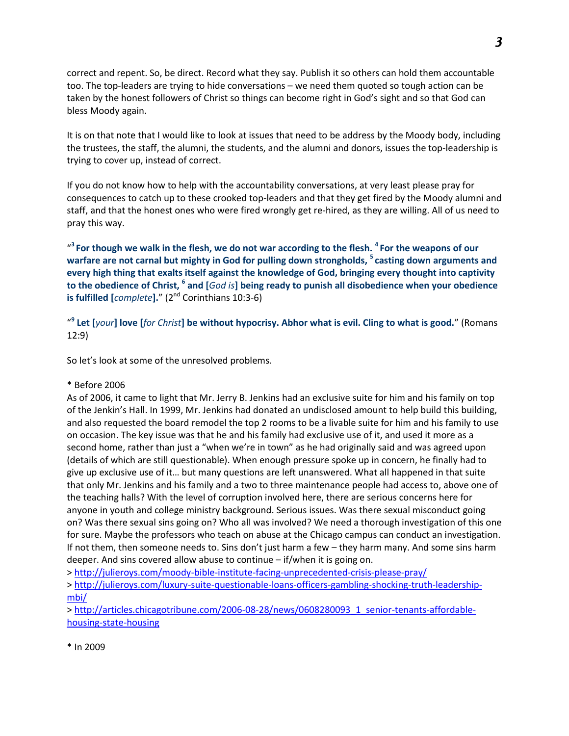correct and repent. So, be direct. Record what they say. Publish it so others can hold them accountable too. The top-leaders are trying to hide conversations – we need them quoted so tough action can be taken by the honest followers of Christ so things can become right in God's sight and so that God can bless Moody again.

It is on that note that I would like to look at issues that need to be address by the Moody body, including the trustees, the staff, the alumni, the students, and the alumni and donors, issues the top-leadership is trying to cover up, instead of correct.

If you do not know how to help with the accountability conversations, at very least please pray for consequences to catch up to these crooked top-leaders and that they get fired by the Moody alumni and staff, and that the honest ones who were fired wrongly get re-hired, as they are willing. All of us need to pray this way.

" **<sup>3</sup>For though we walk in the flesh, we do not war according to the flesh. <sup>4</sup>For the weapons of our warfare are not carnal but mighty in God for pulling down strongholds, <sup>5</sup>casting down arguments and every high thing that exalts itself against the knowledge of God, bringing every thought into captivity to the obedience of Christ, <sup>6</sup> and [***God is***] being ready to punish all disobedience when your obedience is fulfilled [***complete***].**" (2 nd Corinthians 10:3-6)

" **9 Let [***your***] love [***for Christ***] be without hypocrisy. Abhor what is evil. Cling to what is good.**" (Romans 12:9)

So let's look at some of the unresolved problems.

#### \* Before 2006

As of 2006, it came to light that Mr. Jerry B. Jenkins had an exclusive suite for him and his family on top of the Jenkin's Hall. In 1999, Mr. Jenkins had donated an undisclosed amount to help build this building, and also requested the board remodel the top 2 rooms to be a livable suite for him and his family to use on occasion. The key issue was that he and his family had exclusive use of it, and used it more as a second home, rather than just a "when we're in town" as he had originally said and was agreed upon (details of which are still questionable). When enough pressure spoke up in concern, he finally had to give up exclusive use of it… but many questions are left unanswered. What all happened in that suite that only Mr. Jenkins and his family and a two to three maintenance people had access to, above one of the teaching halls? With the level of corruption involved here, there are serious concerns here for anyone in youth and college ministry background. Serious issues. Was there sexual misconduct going on? Was there sexual sins going on? Who all was involved? We need a thorough investigation of this one for sure. Maybe the professors who teach on abuse at the Chicago campus can conduct an investigation. If not them, then someone needs to. Sins don't just harm a few – they harm many. And some sins harm deeper. And sins covered allow abuse to continue – if/when it is going on.

><http://julieroys.com/moody-bible-institute-facing-unprecedented-crisis-please-pray/>

> [http://julieroys.com/luxury-suite-questionable-loans-officers-gambling-shocking-truth-leadership](http://julieroys.com/luxury-suite-questionable-loans-officers-gambling-shocking-truth-leadership-mbi/)[mbi/](http://julieroys.com/luxury-suite-questionable-loans-officers-gambling-shocking-truth-leadership-mbi/)

> [http://articles.chicagotribune.com/2006-08-28/news/0608280093\\_1\\_senior-tenants-affordable](http://articles.chicagotribune.com/2006-08-28/news/0608280093_1_senior-tenants-affordable-housing-state-housing)[housing-state-housing](http://articles.chicagotribune.com/2006-08-28/news/0608280093_1_senior-tenants-affordable-housing-state-housing)

\* In 2009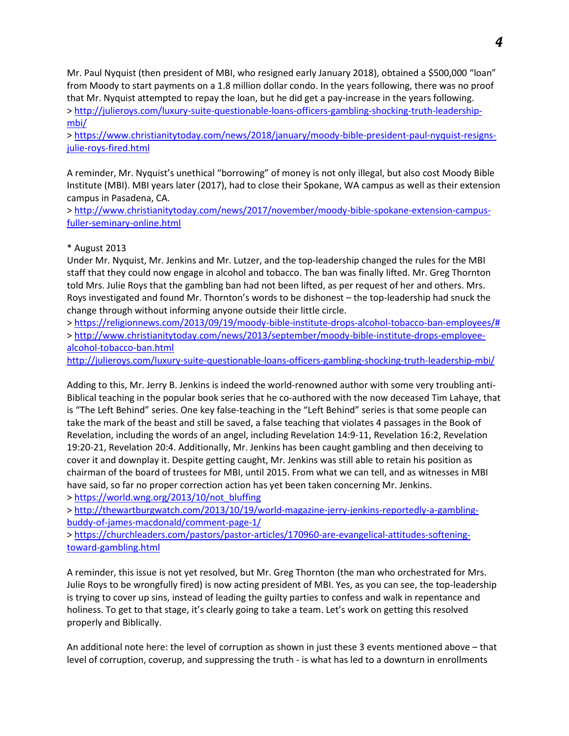Mr. Paul Nyquist (then president of MBI, who resigned early January 2018), obtained a \$500,000 "loan" from Moody to start payments on a 1.8 million dollar condo. In the years following, there was no proof that Mr. Nyquist attempted to repay the loan, but he did get a pay-increase in the years following. > [http://julieroys.com/luxury-suite-questionable-loans-officers-gambling-shocking-truth-leadership](http://julieroys.com/luxury-suite-questionable-loans-officers-gambling-shocking-truth-leadership-mbi/)[mbi/](http://julieroys.com/luxury-suite-questionable-loans-officers-gambling-shocking-truth-leadership-mbi/)

> [https://www.christianitytoday.com/news/2018/january/moody-bible-president-paul-nyquist-resigns](https://www.christianitytoday.com/news/2018/january/moody-bible-president-paul-nyquist-resigns-julie-roys-fired.html)[julie-roys-fired.html](https://www.christianitytoday.com/news/2018/january/moody-bible-president-paul-nyquist-resigns-julie-roys-fired.html)

A reminder, Mr. Nyquist's unethical "borrowing" of money is not only illegal, but also cost Moody Bible Institute (MBI). MBI years later (2017), had to close their Spokane, WA campus as well as their extension campus in Pasadena, CA.

> [http://www.christianitytoday.com/news/2017/november/moody-bible-spokane-extension-campus](http://www.christianitytoday.com/news/2017/november/moody-bible-spokane-extension-campus-fuller-seminary-online.html)[fuller-seminary-online.html](http://www.christianitytoday.com/news/2017/november/moody-bible-spokane-extension-campus-fuller-seminary-online.html)

#### \* August 2013

Under Mr. Nyquist, Mr. Jenkins and Mr. Lutzer, and the top-leadership changed the rules for the MBI staff that they could now engage in alcohol and tobacco. The ban was finally lifted. Mr. Greg Thornton told Mrs. Julie Roys that the gambling ban had not been lifted, as per request of her and others. Mrs. Roys investigated and found Mr. Thornton's words to be dishonest – the top-leadership had snuck the change through without informing anyone outside their little circle.

> [https://religionnews.com/2013/09/19/moody-bible-institute-drops-alcohol-tobacco-ban-employees/#](https://religionnews.com/2013/09/19/moody-bible-institute-drops-alcohol-tobacco-ban-employees/) > [http://www.christianitytoday.com/news/2013/september/moody-bible-institute-drops-employee](http://www.christianitytoday.com/news/2013/september/moody-bible-institute-drops-employee-alcohol-tobacco-ban.html)[alcohol-tobacco-ban.html](http://www.christianitytoday.com/news/2013/september/moody-bible-institute-drops-employee-alcohol-tobacco-ban.html)

<http://julieroys.com/luxury-suite-questionable-loans-officers-gambling-shocking-truth-leadership-mbi/>

Adding to this, Mr. Jerry B. Jenkins is indeed the world-renowned author with some very troubling anti-Biblical teaching in the popular book series that he co-authored with the now deceased Tim Lahaye, that is "The Left Behind" series. One key false-teaching in the "Left Behind" series is that some people can take the mark of the beast and still be saved, a false teaching that violates 4 passages in the Book of Revelation, including the words of an angel, including Revelation 14:9-11, Revelation 16:2, Revelation 19:20-21, Revelation 20:4. Additionally, Mr. Jenkins has been caught gambling and then deceiving to cover it and downplay it. Despite getting caught, Mr. Jenkins was still able to retain his position as chairman of the board of trustees for MBI, until 2015. From what we can tell, and as witnesses in MBI have said, so far no proper correction action has yet been taken concerning Mr. Jenkins.

> [https://world.wng.org/2013/10/not\\_bluffing](https://world.wng.org/2013/10/not_bluffing)

> [http://thewartburgwatch.com/2013/10/19/world-magazine-jerry-jenkins-reportedly-a-gambling](http://thewartburgwatch.com/2013/10/19/world-magazine-jerry-jenkins-reportedly-a-gambling-buddy-of-james-macdonald/comment-page-1/)[buddy-of-james-macdonald/comment-page-1/](http://thewartburgwatch.com/2013/10/19/world-magazine-jerry-jenkins-reportedly-a-gambling-buddy-of-james-macdonald/comment-page-1/)

> [https://churchleaders.com/pastors/pastor-articles/170960-are-evangelical-attitudes-softening](https://churchleaders.com/pastors/pastor-articles/170960-are-evangelical-attitudes-softening-toward-gambling.html)[toward-gambling.html](https://churchleaders.com/pastors/pastor-articles/170960-are-evangelical-attitudes-softening-toward-gambling.html)

A reminder, this issue is not yet resolved, but Mr. Greg Thornton (the man who orchestrated for Mrs. Julie Roys to be wrongfully fired) is now acting president of MBI. Yes, as you can see, the top-leadership is trying to cover up sins, instead of leading the guilty parties to confess and walk in repentance and holiness. To get to that stage, it's clearly going to take a team. Let's work on getting this resolved properly and Biblically.

An additional note here: the level of corruption as shown in just these 3 events mentioned above – that level of corruption, coverup, and suppressing the truth - is what has led to a downturn in enrollments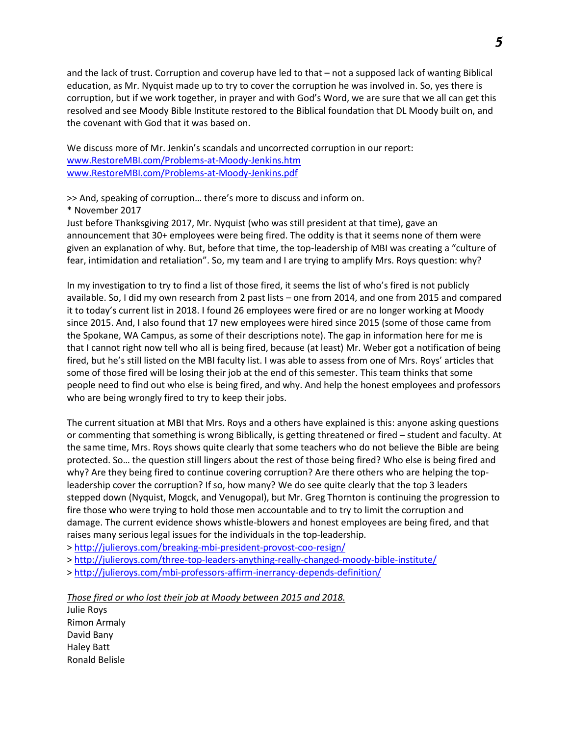and the lack of trust. Corruption and coverup have led to that – not a supposed lack of wanting Biblical education, as Mr. Nyquist made up to try to cover the corruption he was involved in. So, yes there is corruption, but if we work together, in prayer and with God's Word, we are sure that we all can get this resolved and see Moody Bible Institute restored to the Biblical foundation that DL Moody built on, and the covenant with God that it was based on.

We discuss more of Mr. Jenkin's scandals and uncorrected corruption in our report: [www.RestoreMBI.com/Problems-at-Moody-Jenkins.htm](http://www.restorembi.com/Problems-at-Moody-Jenkins.htm) [www.RestoreMBI.com/Problems-at-Moody-Jenkins.pdf](http://www.restorembi.com/Problems-at-Moody-Jenkins.pdf)

>> And, speaking of corruption… there's more to discuss and inform on.

#### \* November 2017

Just before Thanksgiving 2017, Mr. Nyquist (who was still president at that time), gave an announcement that 30+ employees were being fired. The oddity is that it seems none of them were given an explanation of why. But, before that time, the top-leadership of MBI was creating a "culture of fear, intimidation and retaliation". So, my team and I are trying to amplify Mrs. Roys question: why?

In my investigation to try to find a list of those fired, it seems the list of who's fired is not publicly available. So, I did my own research from 2 past lists – one from 2014, and one from 2015 and compared it to today's current list in 2018. I found 26 employees were fired or are no longer working at Moody since 2015. And, I also found that 17 new employees were hired since 2015 (some of those came from the Spokane, WA Campus, as some of their descriptions note). The gap in information here for me is that I cannot right now tell who all is being fired, because (at least) Mr. Weber got a notification of being fired, but he's still listed on the MBI faculty list. I was able to assess from one of Mrs. Roys' articles that some of those fired will be losing their job at the end of this semester. This team thinks that some people need to find out who else is being fired, and why. And help the honest employees and professors who are being wrongly fired to try to keep their jobs.

The current situation at MBI that Mrs. Roys and a others have explained is this: anyone asking questions or commenting that something is wrong Biblically, is getting threatened or fired – student and faculty. At the same time, Mrs. Roys shows quite clearly that some teachers who do not believe the Bible are being protected. So… the question still lingers about the rest of those being fired? Who else is being fired and why? Are they being fired to continue covering corruption? Are there others who are helping the topleadership cover the corruption? If so, how many? We do see quite clearly that the top 3 leaders stepped down (Nyquist, Mogck, and Venugopal), but Mr. Greg Thornton is continuing the progression to fire those who were trying to hold those men accountable and to try to limit the corruption and damage. The current evidence shows whistle-blowers and honest employees are being fired, and that raises many serious legal issues for the individuals in the top-leadership.

><http://julieroys.com/breaking-mbi-president-provost-coo-resign/>

><http://julieroys.com/three-top-leaders-anything-really-changed-moody-bible-institute/>

><http://julieroys.com/mbi-professors-affirm-inerrancy-depends-definition/>

*Those fired or who lost their job at Moody between 2015 and 2018.*

Julie Roys Rimon Armaly David Bany Haley Batt Ronald Belisle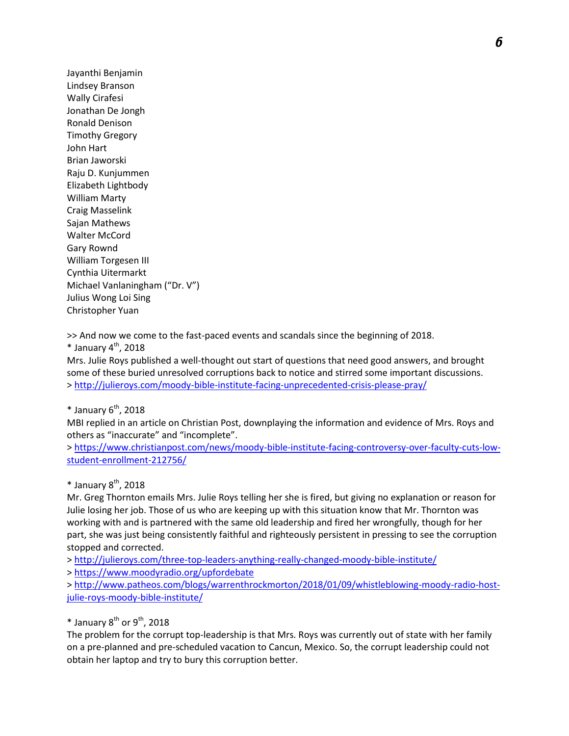Jayanthi Benjamin Lindsey Branson Wally Cirafesi Jonathan De Jongh Ronald Denison Timothy Gregory John Hart Brian Jaworski Raju D. Kunjummen Elizabeth Lightbody William Marty Craig Masselink Sajan Mathews Walter McCord Gary Rownd William Torgesen III Cynthia Uitermarkt Michael Vanlaningham ("Dr. V") Julius Wong Loi Sing Christopher Yuan

>> And now we come to the fast-paced events and scandals since the beginning of 2018.

 $*$  January 4<sup>th</sup>, 2018

Mrs. Julie Roys published a well-thought out start of questions that need good answers, and brought some of these buried unresolved corruptions back to notice and stirred some important discussions. ><http://julieroys.com/moody-bible-institute-facing-unprecedented-crisis-please-pray/>

 $*$  January 6<sup>th</sup>, 2018

MBI replied in an article on Christian Post, downplaying the information and evidence of Mrs. Roys and others as "inaccurate" and "incomplete".

> [https://www.christianpost.com/news/moody-bible-institute-facing-controversy-over-faculty-cuts-low](https://www.christianpost.com/news/moody-bible-institute-facing-controversy-over-faculty-cuts-low-student-enrollment-212756/)[student-enrollment-212756/](https://www.christianpost.com/news/moody-bible-institute-facing-controversy-over-faculty-cuts-low-student-enrollment-212756/)

 $*$  January  $8<sup>th</sup>$ , 2018

Mr. Greg Thornton emails Mrs. Julie Roys telling her she is fired, but giving no explanation or reason for Julie losing her job. Those of us who are keeping up with this situation know that Mr. Thornton was working with and is partnered with the same old leadership and fired her wrongfully, though for her part, she was just being consistently faithful and righteously persistent in pressing to see the corruption stopped and corrected.

> <http://julieroys.com/three-top-leaders-anything-really-changed-moody-bible-institute/>

><https://www.moodyradio.org/upfordebate>

> [http://www.patheos.com/blogs/warrenthrockmorton/2018/01/09/whistleblowing-moody-radio-host](http://www.patheos.com/blogs/warrenthrockmorton/2018/01/09/whistleblowing-moody-radio-host-julie-roys-moody-bible-institute/)[julie-roys-moody-bible-institute/](http://www.patheos.com/blogs/warrenthrockmorton/2018/01/09/whistleblowing-moody-radio-host-julie-roys-moody-bible-institute/)

 $*$  January 8<sup>th</sup> or 9<sup>th</sup>, 2018

The problem for the corrupt top-leadership is that Mrs. Roys was currently out of state with her family on a pre-planned and pre-scheduled vacation to Cancun, Mexico. So, the corrupt leadership could not obtain her laptop and try to bury this corruption better.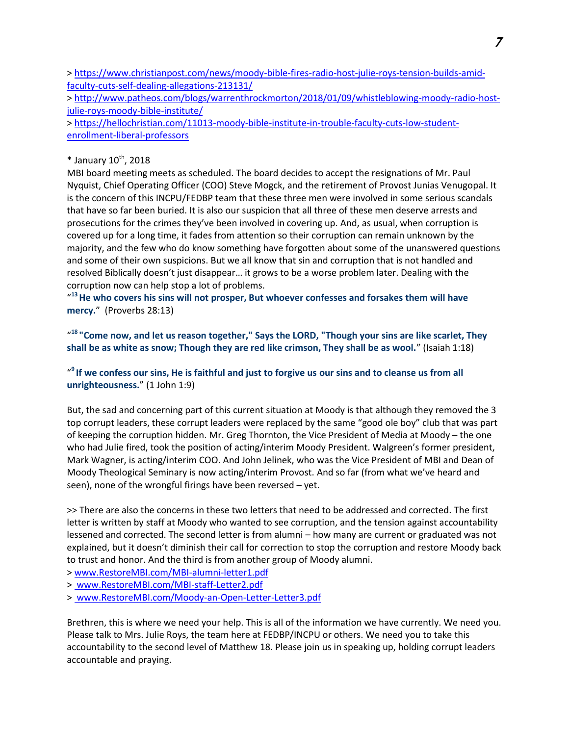> [https://www.christianpost.com/news/moody-bible-fires-radio-host-julie-roys-tension-builds-amid](https://www.christianpost.com/news/moody-bible-fires-radio-host-julie-roys-tension-builds-amid-faculty-cuts-self-dealing-allegations-213131/)[faculty-cuts-self-dealing-allegations-213131/](https://www.christianpost.com/news/moody-bible-fires-radio-host-julie-roys-tension-builds-amid-faculty-cuts-self-dealing-allegations-213131/)

> [http://www.patheos.com/blogs/warrenthrockmorton/2018/01/09/whistleblowing-moody-radio-host](http://www.patheos.com/blogs/warrenthrockmorton/2018/01/09/whistleblowing-moody-radio-host-julie-roys-moody-bible-institute/)[julie-roys-moody-bible-institute/](http://www.patheos.com/blogs/warrenthrockmorton/2018/01/09/whistleblowing-moody-radio-host-julie-roys-moody-bible-institute/)

> [https://hellochristian.com/11013-moody-bible-institute-in-trouble-faculty-cuts-low-student](https://hellochristian.com/11013-moody-bible-institute-in-trouble-faculty-cuts-low-student-enrollment-liberal-professors)[enrollment-liberal-professors](https://hellochristian.com/11013-moody-bible-institute-in-trouble-faculty-cuts-low-student-enrollment-liberal-professors)

### $*$  January 10<sup>th</sup>, 2018

MBI board meeting meets as scheduled. The board decides to accept the resignations of Mr. Paul Nyquist, Chief Operating Officer (COO) Steve Mogck, and the retirement of Provost Junias Venugopal. It is the concern of this INCPU/FEDBP team that these three men were involved in some serious scandals that have so far been buried. It is also our suspicion that all three of these men deserve arrests and prosecutions for the crimes they've been involved in covering up. And, as usual, when corruption is covered up for a long time, it fades from attention so their corruption can remain unknown by the majority, and the few who do know something have forgotten about some of the unanswered questions and some of their own suspicions. But we all know that sin and corruption that is not handled and resolved Biblically doesn't just disappear… it grows to be a worse problem later. Dealing with the corruption now can help stop a lot of problems.

" **<sup>13</sup>He who covers his sins will not prosper, But whoever confesses and forsakes them will have mercy.**" (Proverbs 28:13)

" **<sup>18</sup>"Come now, and let us reason together," Says the LORD, "Though your sins are like scarlet, They shall be as white as snow; Though they are red like crimson, They shall be as wool.**" (Isaiah 1:18)

" **<sup>9</sup>If we confess our sins, He is faithful and just to forgive us our sins and to cleanse us from all unrighteousness.**" (1 John 1:9)

But, the sad and concerning part of this current situation at Moody is that although they removed the 3 top corrupt leaders, these corrupt leaders were replaced by the same "good ole boy" club that was part of keeping the corruption hidden. Mr. Greg Thornton, the Vice President of Media at Moody – the one who had Julie fired, took the position of acting/interim Moody President. Walgreen's former president, Mark Wagner, is acting/interim COO. And John Jelinek, who was the Vice President of MBI and Dean of Moody Theological Seminary is now acting/interim Provost. And so far (from what we've heard and seen), none of the wrongful firings have been reversed – yet.

>> There are also the concerns in these two letters that need to be addressed and corrected. The first letter is written by staff at Moody who wanted to see corruption, and the tension against accountability lessened and corrected. The second letter is from alumni – how many are current or graduated was not explained, but it doesn't diminish their call for correction to stop the corruption and restore Moody back to trust and honor. And the third is from another group of Moody alumni.

> [www.RestoreMBI.com/MBI-alumni-letter1.pdf](http://www.restorembi.com/MBI-alumni-letter1.pdf)

> www.RestoreMBI.com/MBI-staff-Letter2.pdf

> www.RestoreMBI.com/Moody-an-Open-Letter-Letter3.pdf

Brethren, this is where we need your help. This is all of the information we have currently. We need you. Please talk to Mrs. Julie Roys, the team here at FEDBP/INCPU or others. We need you to take this accountability to the second level of Matthew 18. Please join us in speaking up, holding corrupt leaders accountable and praying.